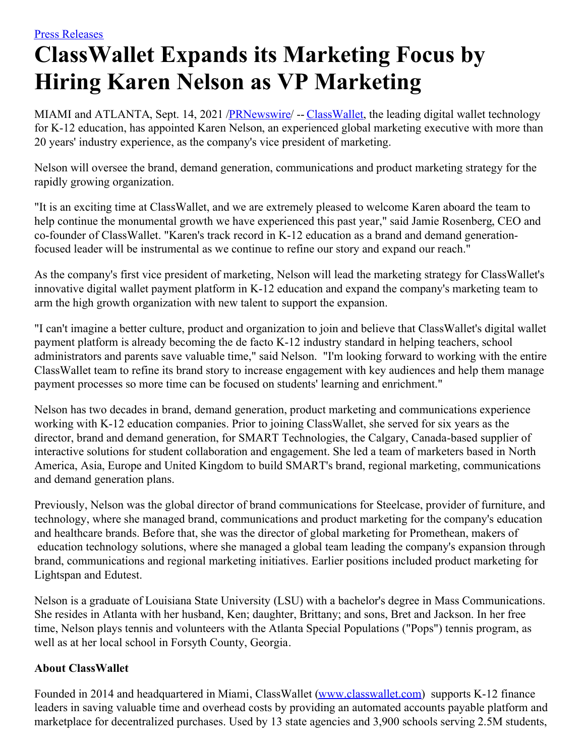## **ClassWallet Expands its Marketing Focus by Hiring Karen Nelson as VP Marketing**

MIAMI and ATLANTA, Sept. 14, 2021 /**[PRNewswire](http://www.prnewswire.com/)/** -- [ClassWallet](https://c212.net/c/link/?t=0&l=en&o=3285552-1&h=3484740995&u=http%3A%2F%2Fwww.classwallet.com%2F&a=ClassWallet), the leading digital wallet technology for K-12 education, has appointed Karen Nelson, an experienced global marketing executive with more than 20 years' industry experience, as the company's vice president of marketing.

Nelson will oversee the brand, demand generation, communications and product marketing strategy for the rapidly growing organization.

"It is an exciting time at ClassWallet, and we are extremely pleased to welcome Karen aboard the team to help continue the monumental growth we have experienced this past year," said Jamie Rosenberg, CEO and co-founder of ClassWallet. "Karen's track record in K-12 education as a brand and demand generationfocused leader will be instrumental as we continue to refine our story and expand our reach."

As the company's first vice president of marketing, Nelson will lead the marketing strategy for ClassWallet's innovative digital wallet payment platform in K-12 education and expand the company's marketing team to arm the high growth organization with new talent to support the expansion.

"I can't imagine a better culture, product and organization to join and believe that ClassWallet's digital wallet payment platform is already becoming the de facto K-12 industry standard in helping teachers, school administrators and parents save valuable time," said Nelson. "I'm looking forward to working with the entire ClassWallet team to refine its brand story to increase engagement with key audiences and help them manage payment processes so more time can be focused on students' learning and enrichment."

Nelson has two decades in brand, demand generation, product marketing and communications experience working with K-12 education companies. Prior to joining ClassWallet, she served for six years as the director, brand and demand generation, for SMART Technologies, the Calgary, Canada-based supplier of interactive solutions for student collaboration and engagement. She led a team of marketers based in North America, Asia, Europe and United Kingdom to build SMART's brand, regional marketing, communications and demand generation plans.

Previously, Nelson was the global director of brand communications for Steelcase, provider of furniture, and technology, where she managed brand, communications and product marketing for the company's education and healthcare brands. Before that, she was the director of global marketing for Promethean, makers of education technology solutions, where she managed a global team leading the company's expansion through brand, communications and regional marketing initiatives. Earlier positions included product marketing for Lightspan and Edutest.

Nelson is a graduate of Louisiana State University (LSU) with a bachelor's degree in Mass Communications. She resides in Atlanta with her husband, Ken; daughter, Brittany; and sons, Bret and Jackson. In her free time, Nelson plays tennis and volunteers with the Atlanta Special Populations ("Pops") tennis program, as well as at her local school in Forsyth County, Georgia.

## **About ClassWallet**

Founded in 2014 and headquartered in Miami, ClassWallet [\(www.classwallet.com](https://c212.net/c/link/?t=0&l=en&o=3285552-1&h=1840374201&u=http%3A%2F%2Fwww.classwallet.com%2F&a=www.classwallet.com)) supports K-12 finance leaders in saving valuable time and overhead costs by providing an automated accounts payable platform and marketplace for decentralized purchases. Used by 13 state agencies and 3,900 schools serving 2.5M students,